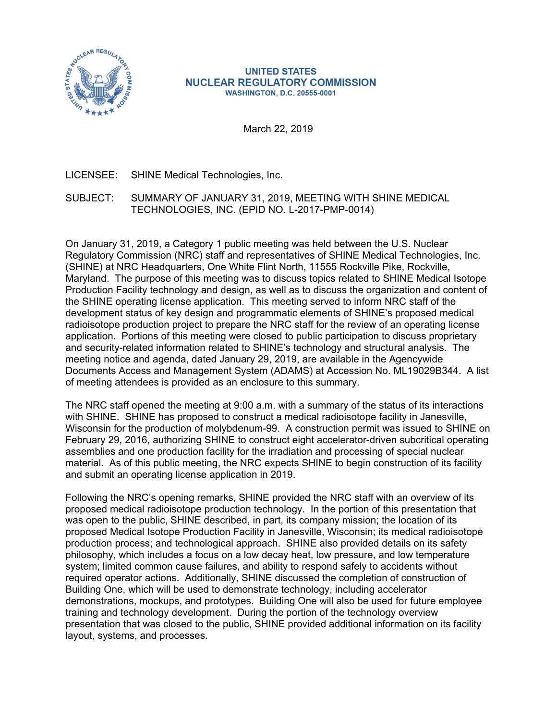

### **UNITED STATES NUCLEAR REGULATORY COMMISSION WASHINGTON, D.C. 20555-0001**

March 22, 2019

# LICENSEE: SHINE Medical Technologies, Inc.

# SUBJECT: SUMMARY OF JANUARY 31, 2019, MEETING WITH SHINE MEDICAL TECHNOLOGIES, INC. (EPID NO. L-2017-PMP-0014)

On January 31, 2019, a Category 1 public meeting was held between the U.S. Nuclear Regulatory Commission (NRC) staff and representatives of SHINE Medical Technologies, Inc. (SHINE) at NRC Headquarters, One White Flint North, 11555 Rockville Pike, Rockville, Maryland. The purpose of this meeting was to discuss topics related to SHINE Medical Isotope Production Facility technology and design, as well as to discuss the organization and content of the SHINE operating license application. This meeting served to inform NRC staff of the development status of key design and programmatic elements of SHINE's proposed medical radioisotope production project to prepare the NRC staff for the review of an operating license application. Portions of this meeting were closed to public participation to discuss proprietary and security-related information related to SHINE's technology and structural analysis. The meeting notice and agenda, dated January 29, 2019, are available in the Agencywide Documents Access and Management System (ADAMS) at Accession No. ML19029B344. A list of meeting attendees is provided as an enclosure to this summary.

The NRC staff opened the meeting at 9:00 a.m. with a summary of the status of its interactions with SHINE. SHINE has proposed to construct a medical radioisotope facility in Janesville, Wisconsin for the production of molybdenum-99. A construction permit was issued to SHINE on February 29, 2016, authorizing SHINE to construct eight accelerator-driven subcritical operating assemblies and one production facility for the irradiation and processing of special nuclear material. As of this public meeting, the NRC expects SHINE to begin construction of its facility and submit an operating license application in 2019.

Following the NRC's opening remarks, SHINE provided the NRC staff with an overview of its proposed medical radioisotope production technology. In the portion of this presentation that was open to the public, SHINE described, in part, its company mission; the location of its proposed Medical Isotope Production Facility in Janesville, Wisconsin; its medical radioisotope production process; and technological approach. SHINE also provided details on its safety philosophy, which includes a focus on a low decay heat, low pressure, and low temperature system; limited common cause failures, and ability to respond safely to accidents without required operator actions. Additionally, SHINE discussed the completion of construction of Building One, which will be used to demonstrate technology, including accelerator demonstrations, mockups, and prototypes. Building One will also be used for future employee training and technology development. During the portion of the technology overview presentation that was closed to the public, SHINE provided additional information on its facility layout, systems, and processes.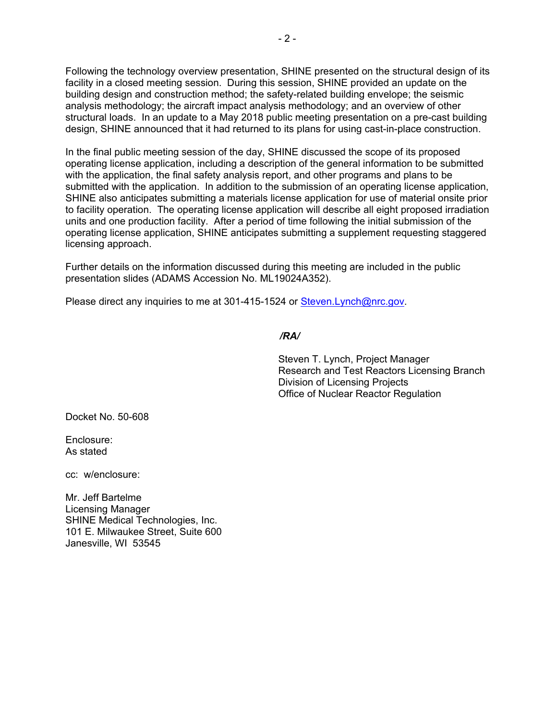Following the technology overview presentation, SHINE presented on the structural design of its facility in a closed meeting session. During this session, SHINE provided an update on the building design and construction method; the safety-related building envelope; the seismic analysis methodology; the aircraft impact analysis methodology; and an overview of other structural loads. In an update to a May 2018 public meeting presentation on a pre-cast building design, SHINE announced that it had returned to its plans for using cast-in-place construction.

In the final public meeting session of the day, SHINE discussed the scope of its proposed operating license application, including a description of the general information to be submitted with the application, the final safety analysis report, and other programs and plans to be submitted with the application. In addition to the submission of an operating license application, SHINE also anticipates submitting a materials license application for use of material onsite prior to facility operation. The operating license application will describe all eight proposed irradiation units and one production facility. After a period of time following the initial submission of the operating license application, SHINE anticipates submitting a supplement requesting staggered licensing approach.

Further details on the information discussed during this meeting are included in the public presentation slides (ADAMS Accession No. ML19024A352).

Please direct any inquiries to me at 301-415-1524 or Steven.Lynch@nrc.gov.

## */RA/*

Steven T. Lynch, Project Manager Research and Test Reactors Licensing Branch Division of Licensing Projects Office of Nuclear Reactor Regulation

Docket No. 50-608

Enclosure: As stated

cc: w/enclosure:

Mr. Jeff Bartelme Licensing Manager SHINE Medical Technologies, Inc. 101 E. Milwaukee Street, Suite 600 Janesville, WI 53545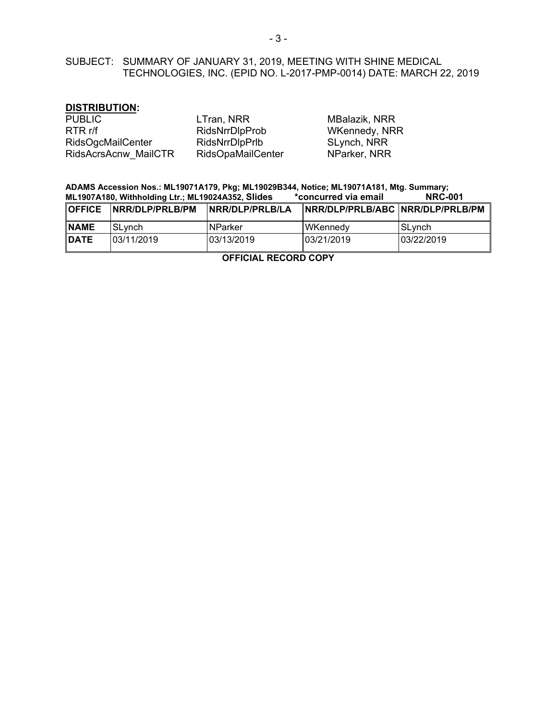# SUBJECT: SUMMARY OF JANUARY 31, 2019, MEETING WITH SHINE MEDICAL TECHNOLOGIES, INC. (EPID NO. L-2017-PMP-0014) DATE: MARCH 22, 2019

## **DISTRIBUTION:**

| <b>PUBLIC</b>        | LTran, NRR            | MBalazik, NRR |
|----------------------|-----------------------|---------------|
| RTR r/f              | <b>RidsNrrDlpProb</b> | WKennedy, NRR |
| RidsOgcMailCenter    | RidsNrrDlpPrlb        | SLynch, NRR   |
| RidsAcrsAcnw MailCTR | RidsOpaMailCenter     | NParker, NRR  |

### **ADAMS Accession Nos.: ML19071A179, Pkg; ML19029B344, Notice; ML19071A181, Mtg. Summary; ML1907A180, Withholding Ltr.; ML19024A352, Slides**

| <b>OFFICE</b> | INRR/DLP/PRLB/PM | INRR/DLP/PRLB/LA | INRR/DLP/PRLB/ABC INRR/DLP/PRLB/PM |            |
|---------------|------------------|------------------|------------------------------------|------------|
| <b>NAME</b>   | lSLvnch          | <b>INParker</b>  | <b>WKennedy</b>                    | lSLvnch    |
| <b>IDATE</b>  | 103/11/2019      | 03/13/2019       | 03/21/2019                         | 03/22/2019 |

**OFFICIAL RECORD COPY**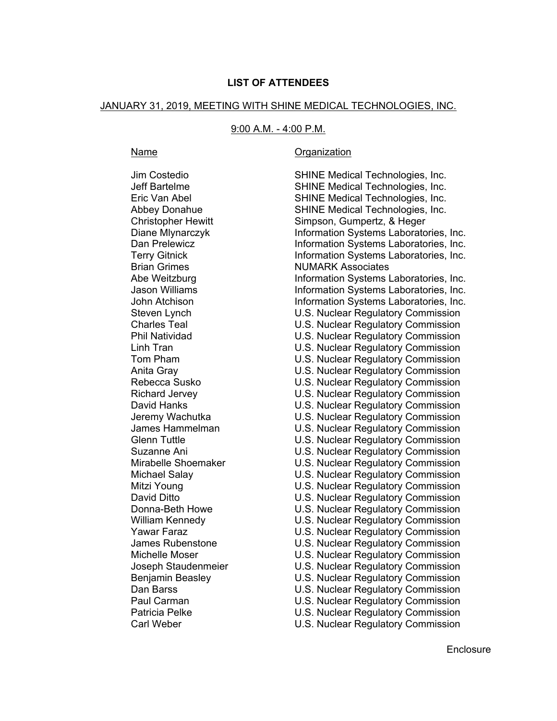## **LIST OF ATTENDEES**

#### JANUARY 31, 2019, MEETING WITH SHINE MEDICAL TECHNOLOGIES, INC.

#### 9:00 A.M. - 4:00 P.M.

Brian Grimes **NUMARK** Associates Carl Weber U.S. Nuclear Regulatory Commission

### Name **Organization**

Jim Costedio SHINE Medical Technologies, Inc. Jeff Bartelme SHINE Medical Technologies, Inc. Eric Van Abel SHINE Medical Technologies, Inc. Abbey Donahue SHINE Medical Technologies, Inc. Christopher Hewitt Simpson, Gumpertz, & Heger Diane Mlynarczyk Information Systems Laboratories, Inc. Dan Prelewicz **Information Systems Laboratories**, Inc. Terry Gitnick **Information Systems Laboratories**, Inc. Abe Weitzburg Information Systems Laboratories, Inc. Jason Williams **Information Systems Laboratories**, Inc. John Atchison Information Systems Laboratories, Inc. Steven Lynch U.S. Nuclear Regulatory Commission Charles Teal U.S. Nuclear Regulatory Commission Phil Natividad U.S. Nuclear Regulatory Commission Linh Tran U.S. Nuclear Regulatory Commission Tom Pham U.S. Nuclear Regulatory Commission Anita Gray U.S. Nuclear Regulatory Commission Rebecca Susko U.S. Nuclear Regulatory Commission Richard Jervey U.S. Nuclear Regulatory Commission David Hanks U.S. Nuclear Regulatory Commission Jeremy Wachutka U.S. Nuclear Regulatory Commission James Hammelman U.S. Nuclear Regulatory Commission Glenn Tuttle U.S. Nuclear Regulatory Commission Suzanne Ani U.S. Nuclear Regulatory Commission Mirabelle Shoemaker U.S. Nuclear Regulatory Commission Michael Salay U.S. Nuclear Regulatory Commission Mitzi Young **Nitzi Young Example 20** Mitzi Young **Mitzi** Young David Ditto U.S. Nuclear Regulatory Commission Donna-Beth Howe U.S. Nuclear Regulatory Commission William Kennedy **Network** U.S. Nuclear Regulatory Commission Yawar Faraz **Network** U.S. Nuclear Regulatory Commission James Rubenstone U.S. Nuclear Regulatory Commission Michelle Moser U.S. Nuclear Regulatory Commission Joseph Staudenmeier U.S. Nuclear Regulatory Commission Benjamin Beasley U.S. Nuclear Regulatory Commission Dan Barss U.S. Nuclear Regulatory Commission Paul Carman U.S. Nuclear Regulatory Commission U.S. Nuclear Regulatory Commission

**Enclosure**